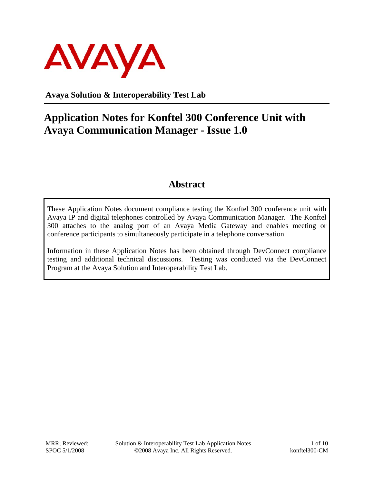

**Avaya Solution & Interoperability Test Lab** 

# **Application Notes for Konftel 300 Conference Unit with Avaya Communication Manager - Issue 1.0**

## **Abstract**

These Application Notes document compliance testing the Konftel 300 conference unit with Avaya IP and digital telephones controlled by Avaya Communication Manager. The Konftel 300 attaches to the analog port of an Avaya Media Gateway and enables meeting or conference participants to simultaneously participate in a telephone conversation.

Information in these Application Notes has been obtained through DevConnect compliance testing and additional technical discussions. Testing was conducted via the DevConnect Program at the Avaya Solution and Interoperability Test Lab.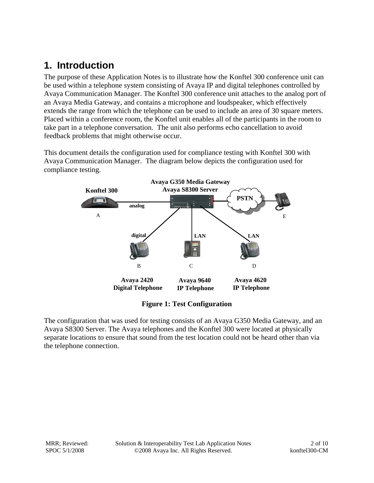## **1. Introduction**

The purpose of these Application Notes is to illustrate how the Konftel 300 conference unit can be used within a telephone system consisting of Avaya IP and digital telephones controlled by Avaya Communication Manager. The Konftel 300 conference unit attaches to the analog port of an Avaya Media Gateway, and contains a microphone and loudspeaker, which effectively extends the range from which the telephone can be used to include an area of 30 square meters. Placed within a conference room, the Konftel unit enables all of the participants in the room to take part in a telephone conversation. The unit also performs echo cancellation to avoid feedback problems that might otherwise occur.

This document details the configuration used for compliance testing with Konftel 300 with Avaya Communication Manager. The diagram below depicts the configuration used for compliance testing.



**Figure 1: Test Configuration** 

The configuration that was used for testing consists of an Avaya G350 Media Gateway, and an Avaya S8300 Server. The Avaya telephones and the Konftel 300 were located at physically separate locations to ensure that sound from the test location could not be heard other than via the telephone connection.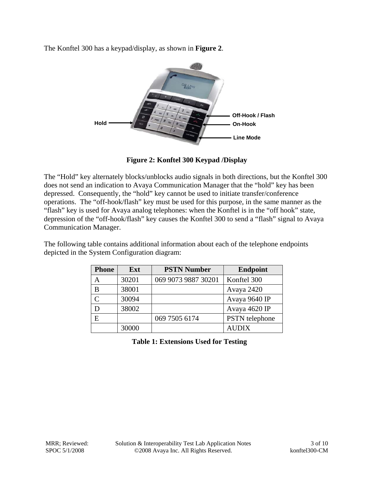The Konftel 300 has a keypad/display, as shown in **Figure 2**.



**Figure 2: Konftel 300 Keypad /Display** 

The "Hold" key alternately blocks/unblocks audio signals in both directions, but the Konftel 300 does not send an indication to Avaya Communication Manager that the "hold" key has been depressed. Consequently, the "hold" key cannot be used to initiate transfer/conference operations. The "off-hook/flash" key must be used for this purpose, in the same manner as the "flash" key is used for Avaya analog telephones: when the Konftel is in the "off hook" state, depression of the "off-hook/flash" key causes the Konftel 300 to send a "flash" signal to Avaya Communication Manager.

The following table contains additional information about each of the telephone endpoints depicted in the System Configuration diagram:

| <b>Phone</b> | Ext   | <b>PSTN Number</b>  | <b>Endpoint</b> |
|--------------|-------|---------------------|-----------------|
| А            | 30201 | 069 9073 9887 30201 | Konftel 300     |
| B            | 38001 |                     | Avaya 2420      |
|              | 30094 |                     | Avaya 9640 IP   |
|              | 38002 |                     | Avaya 4620 IP   |
| E            |       | 069 7505 6174       | PSTN telephone  |
|              | 30000 |                     | <b>AUDIX</b>    |

**Table 1: Extensions Used for Testing**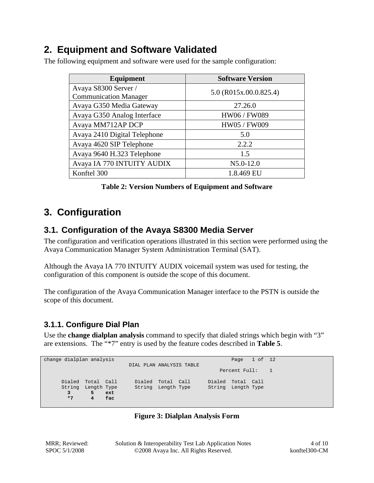## **2. Equipment and Software Validated**

The following equipment and software were used for the sample configuration:

| Equipment                                            | <b>Software Version</b> |  |  |  |  |
|------------------------------------------------------|-------------------------|--|--|--|--|
| Avaya S8300 Server /<br><b>Communication Manager</b> | 5.0 (R015x.00.0.825.4)  |  |  |  |  |
| Avaya G350 Media Gateway                             | 27.26.0                 |  |  |  |  |
| Avaya G350 Analog Interface                          | HW06 / FW089            |  |  |  |  |
| Avaya MM712AP DCP                                    | HW05 / FW009            |  |  |  |  |
| Avaya 2410 Digital Telephone                         | 5.0                     |  |  |  |  |
| Avaya 4620 SIP Telephone                             | 2.2.2                   |  |  |  |  |
| Avaya 9640 H.323 Telephone                           | 1.5                     |  |  |  |  |
| Avaya IA 770 INTUITY AUDIX                           | $N5.0 - 12.0$           |  |  |  |  |
| Konftel 300                                          | 1.8.469 EU              |  |  |  |  |

## **3. Configuration**

## **3.1. Configuration of the Avaya S8300 Media Server**

The configuration and verification operations illustrated in this section were performed using the Avaya Communication Manager System Administration Terminal (SAT).

Although the Avaya IA 770 INTUITY AUDIX voicemail system was used for testing, the configuration of this component is outside the scope of this document.

The configuration of the Avaya Communication Manager interface to the PSTN is outside the scope of this document.

## **3.1.1. Configure Dial Plan**

Use the **change dialplan analysis** command to specify that dialed strings which begin with "3" are extensions. The "\*7" entry is used by the feature codes described in **Table 5**.

| change dialplan analysis |                          | Page 1 of 12       |           |
|--------------------------|--------------------------|--------------------|-----------|
|                          | DIAL PLAN ANALYSIS TABLE |                    |           |
|                          |                          | Percent Full:      | $\sim$ 17 |
|                          |                          |                    |           |
| Dialed Total Call        | Dialed Total Call        | Dialed Total Call  |           |
| String<br>Length Type    | String Length Type       | String Length Type |           |
| 5<br>ext                 |                          |                    |           |
| $*7$<br>4<br>fac         |                          |                    |           |
|                          |                          |                    |           |

#### **Figure 3: Dialplan Analysis Form**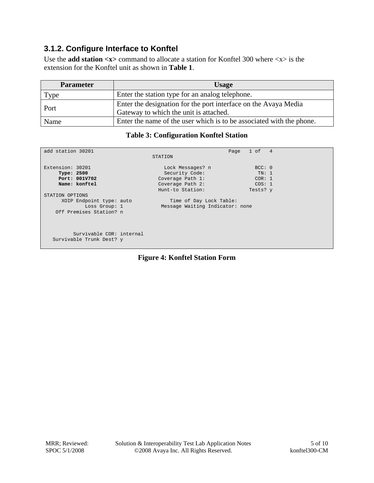### **3.1.2. Configure Interface to Konftel**

Use the **add station <x>** command to allocate a station for Konftel 300 where <x> is the extension for the Konftel unit as shown in **Table 1**.

| <b>Parameter</b>                                        | <b>Usage</b>                                                                                              |  |
|---------------------------------------------------------|-----------------------------------------------------------------------------------------------------------|--|
| Enter the station type for an analog telephone.<br>Type |                                                                                                           |  |
| Port                                                    | Enter the designation for the port interface on the Avaya Media<br>Gateway to which the unit is attached. |  |
| Name                                                    | Enter the name of the user which is to be associated with the phone.                                      |  |

#### **Table 3: Configuration Konftel Station**

| Time of Day Lock Table: |  |  |  |  |
|-------------------------|--|--|--|--|
|                         |  |  |  |  |
|                         |  |  |  |  |
|                         |  |  |  |  |
|                         |  |  |  |  |
|                         |  |  |  |  |
|                         |  |  |  |  |
|                         |  |  |  |  |
|                         |  |  |  |  |
|                         |  |  |  |  |

#### **Figure 4: Konftel Station Form**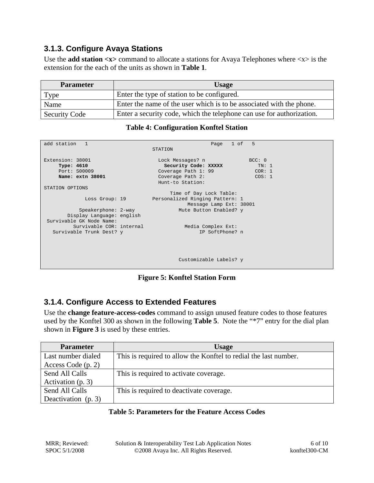### **3.1.3. Configure Avaya Stations**

Use the **add station**  $\langle x \rangle$  command to allocate a stations for Avaya Telephones where  $\langle x \rangle$  is the extension for the each of the units as shown in **Table 1**.

| <b>Parameter</b>     | <b>Usage</b>                                                          |  |
|----------------------|-----------------------------------------------------------------------|--|
| Type                 | Enter the type of station to be configured.                           |  |
| Name                 | Enter the name of the user which is to be associated with the phone.  |  |
| <b>Security Code</b> | Enter a security code, which the telephone can use for authorization. |  |

#### **Table 4: Configuration Konftel Station**

| add station 1             | Page 1 of 5<br>STATION          |
|---------------------------|---------------------------------|
|                           |                                 |
| Extension: 38001          | Lock Messages? n<br>BCC: 0      |
| Type: 4610                | Security Code: XXXXX<br>TN: 1   |
| Port: S00009              | Coverage Path 1: 99<br>COR: 1   |
| Name: extn 38001          | Coverage Path 2:<br>COS: 1      |
|                           | Hunt-to Station:                |
| STATION OPTIONS           |                                 |
|                           | Time of Day Lock Table:         |
| Loss Group: 19            | Personalized Ringing Pattern: 1 |
|                           | Message Lamp Ext: 38001         |
| Speakerphone: 2-way       | Mute Button Enabled? y          |
|                           |                                 |
| Display Language: english |                                 |
| Survivable GK Node Name:  |                                 |
| Survivable COR: internal  | Media Complex Ext:              |
| Survivable Trunk Dest? y  | IP SoftPhone? n                 |
|                           |                                 |
|                           |                                 |
|                           |                                 |
|                           |                                 |
|                           | Customizable Labels? y          |
|                           |                                 |

**Figure 5: Konftel Station Form**

### **3.1.4. Configure Access to Extended Features**

Use the **change feature-access-codes** command to assign unused feature codes to those features used by the Konftel 300 as shown in the following **Table 5**. Note the "\*7" entry for the dial plan shown in **Figure 3** is used by these entries.

| <b>Parameter</b>     | <b>Usage</b>                                                     |
|----------------------|------------------------------------------------------------------|
| Last number dialed   | This is required to allow the Konftel to redial the last number. |
| Access Code $(p, 2)$ |                                                                  |
| Send All Calls       | This is required to activate coverage.                           |
| Activation (p. 3)    |                                                                  |
| Send All Calls       | This is required to deactivate coverage.                         |
| Deactivation (p. 3)  |                                                                  |

#### **Table 5: Parameters for the Feature Access Codes**

MRR; Reviewed: SPOC 5/1/2008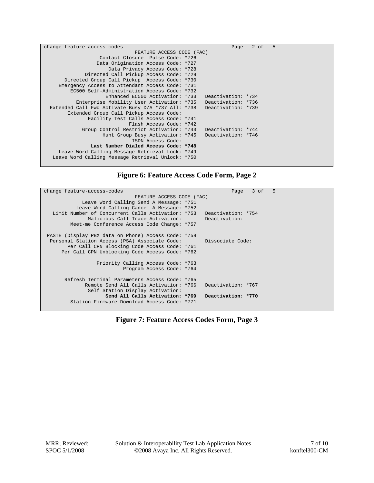| change feature-access-codes                        | Page               | 2 of | 5 |  |
|----------------------------------------------------|--------------------|------|---|--|
| FEATURE ACCESS CODE (FAC)                          |                    |      |   |  |
| Contact Closure Pulse Code: *726                   |                    |      |   |  |
| Data Origination Access Code: *727                 |                    |      |   |  |
| Data Privacy Access Code: *728                     |                    |      |   |  |
| Directed Call Pickup Access Code: *729             |                    |      |   |  |
| Directed Group Call Pickup Access Code: *730       |                    |      |   |  |
| Emergency Access to Attendant Access Code: *731    |                    |      |   |  |
| EC500 Self-Administration Access Code: *732        |                    |      |   |  |
| Enhanced EC500 Activation: *733                    | Deactivation: *734 |      |   |  |
| Enterprise Mobility User Activation: *735          | Deactivation: *736 |      |   |  |
| Extended Call Fwd Activate Busy D/A *737 All: *738 | Deactivation: *739 |      |   |  |
| Extended Group Call Pickup Access Code:            |                    |      |   |  |
| Facility Test Calls Access Code: *741              |                    |      |   |  |
| Flash Access Code: *742                            |                    |      |   |  |
| Group Control Restrict Activation: *743            | Deactivation: *744 |      |   |  |
| Hunt Group Busy Activation: *745                   | Deactivation: *746 |      |   |  |
| ISDN Access Code:                                  |                    |      |   |  |
| Last Number Dialed Access Code: *748               |                    |      |   |  |
| Leave Word Calling Message Retrieval Lock: *749    |                    |      |   |  |
| Leave Word Calling Message Retrieval Unlock: *750  |                    |      |   |  |
|                                                    |                    |      |   |  |

### **Figure 6: Feature Access Code Form, Page 2**

| change feature-access-codes                                           | 5<br>3 of<br>Page |  |  |  |
|-----------------------------------------------------------------------|-------------------|--|--|--|
| FEATURE ACCESS CODE (FAC)                                             |                   |  |  |  |
| Leave Word Calling Send A Message: *751                               |                   |  |  |  |
| Leave Word Calling Cancel A Message: *752                             |                   |  |  |  |
| Limit Number of Concurrent Calls Activation: *753  Deactivation: *754 |                   |  |  |  |
| Malicious Call Trace Activation:                                      | Deactivation:     |  |  |  |
| Meet-me Conference Access Code Change: *757                           |                   |  |  |  |
|                                                                       |                   |  |  |  |
| PASTE (Display PBX data on Phone) Access Code: *758                   |                   |  |  |  |
| Personal Station Access (PSA) Associate Code:                         | Dissociate Code:  |  |  |  |
| Per Call CPN Blocking Code Access Code: *761                          |                   |  |  |  |
| Per Call CPN Unblocking Code Access Code: *762                        |                   |  |  |  |
|                                                                       |                   |  |  |  |
| Priority Calling Access Code: *763                                    |                   |  |  |  |
| Program Access Code: *764                                             |                   |  |  |  |
|                                                                       |                   |  |  |  |
| Refresh Terminal Parameters Access Code: *765                         |                   |  |  |  |
| Remote Send All Calls Activation: *766    Deactivation: *767          |                   |  |  |  |
| Self Station Display Activation:                                      |                   |  |  |  |
| Send All Calls Activation: *769 Deactivation: *770                    |                   |  |  |  |
| Station Firmware Download Access Code: *771                           |                   |  |  |  |
|                                                                       |                   |  |  |  |

**Figure 7: Feature Access Codes Form, Page 3**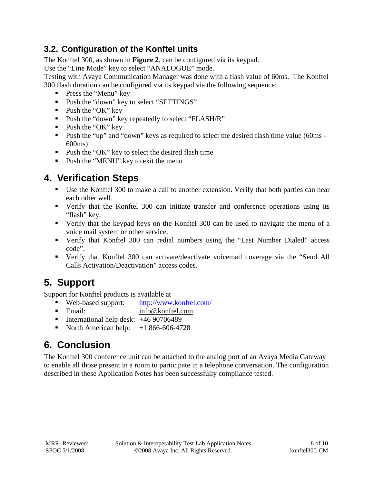## **3.2. Configuration of the Konftel units**

The Konftel 300, as shown in **Figure 2**, can be configured via its keypad.

Use the "Line Mode" key to select "ANALOGUE" mode.

Testing with Avaya Communication Manager was done with a flash value of 60ms. The Konftel 300 flash duration can be configured via its keypad via the following sequence:

- **Press the "Menu" key**
- Push the "down" key to select "SETTINGS"
- $\blacksquare$  Push the "OK" key
- **Push the "down" key repeatedly to select "FLASH/R"**
- $\blacksquare$  Push the "OK" key
- Push the "up" and "down" keys as required to select the desired flash time value (60ms 600ms)
- Push the "OK" key to select the desired flash time
- **Push the "MENU" key to exit the menu**

## **4. Verification Steps**

- Use the Konftel 300 to make a call to another extension. Verify that both parties can hear each other well.
- Verify that the Konftel 300 can initiate transfer and conference operations using its "flash" key.
- Verify that the keypad keys on the Konftel 300 can be used to navigate the menu of a voice mail system or other service.
- Verify that Konftel 300 can redial numbers using the "Last Number Dialed" access code".
- Verify that Konftel 300 can activate/deactivate voicemail coverage via the "Send All Calls Activation/Deactivation" access codes.

# **5. Support**

Support for Konftel products is available at

- Web-based support: http://www.konftel.com/
- Email: info@konftel.com
- International help desk:  $+4690706489$
- North American help:  $+1866-606-4728$

# **6. Conclusion**

The Konftel 300 conference unit can be attached to the analog port of an Avaya Media Gateway to enable all those present in a room to participate in a telephone conversation. The configuration described in these Application Notes has been successfully compliance tested.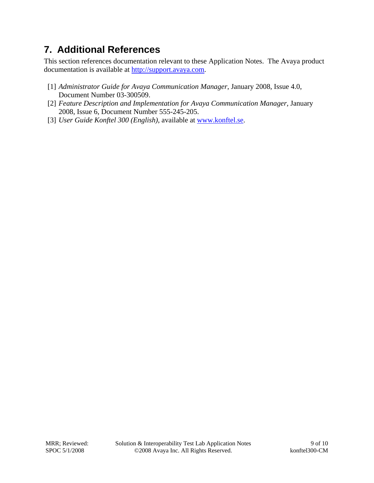## **7. Additional References**

This section references documentation relevant to these Application Notes. The Avaya product documentation is available at http://support.avaya.com.

- [1] *Administrator Guide for Avaya Communication Manager*, January 2008, Issue 4.0, Document Number 03-300509.
- [2] *Feature Description and Implementation for Avaya Communication Manager,* January 2008, Issue 6, Document Number 555-245-205.
- [3] *User Guide Konftel 300 (English)*, available at www.konftel.se.